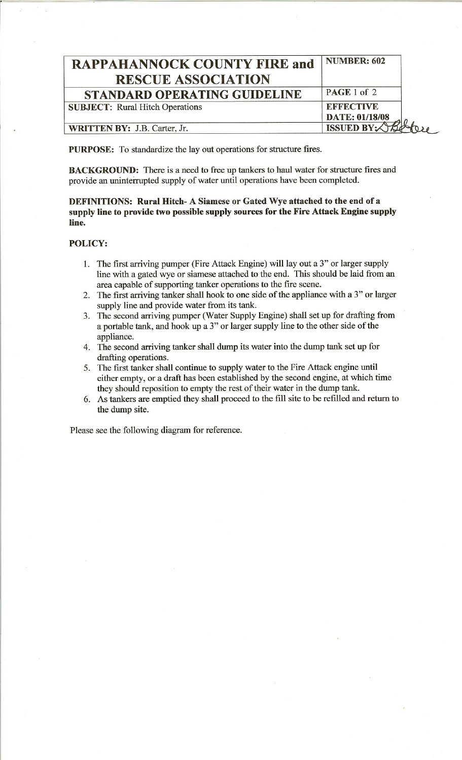| <b>RAPPAHANNOCK COUNTY FIRE and</b><br><b>RESCUE ASSOCIATION</b> | <b>NUMBER: 602</b>                 |
|------------------------------------------------------------------|------------------------------------|
| <b>STANDARD OPERATING GUIDELINE</b>                              | PAGE 1 of 2                        |
| <b>SUBJECT:</b> Rural Hitch Operations                           | <b>EFFECTIVE</b><br>DATE: 01/18/08 |
| <b>WRITTEN BY: J.B. Carter, Jr.</b>                              | <b>ISSUED BY:</b>                  |

PURPOSE: To standardize the lay out operations for structure fires.

BACKGROUND: There is a need to free up tankers to haul water for structure fires and provide an uninterrupted supply of water until operations have been completed.

## DEFINITIONS: Rural Hitch- A Siamese or Gated Wye attached to the end of a supply line to provide two possible supply sources for the Fire Attack Engine supply line.

## POLICY:

,..-=

- 1. The first arriving pumper (Fire Attack Engine) will lay out a 3" or larger supply line with a gated wye or siamese attached to the end. This should be laid from an area capable of supporting tanker operations to the fire scene.
- 2. The first arriving tanker shall hook to one side of the appliance with a 3" or larger supply line and provide water from its tank.
- 3. The second arriving pumper (Water Supply Engine) shall set up for drafting from a portable tank, and hook up a 3" or larger supply line to the other side of the appliance.
- 4. The second arriving tanker shall dump its water into the dump tank set up for drafting operations.
- 5. The first tanker shall continue to supply water to the Fire Attack engine until either empty, or a draft has been established by the second engine, at which time they should reposition to empty the rest of their water in the dump tank.
- 6. As tankers are emptied they shall proceed to the fill site to be refilled and return to the dump site.

Please see the following diagram for reference.